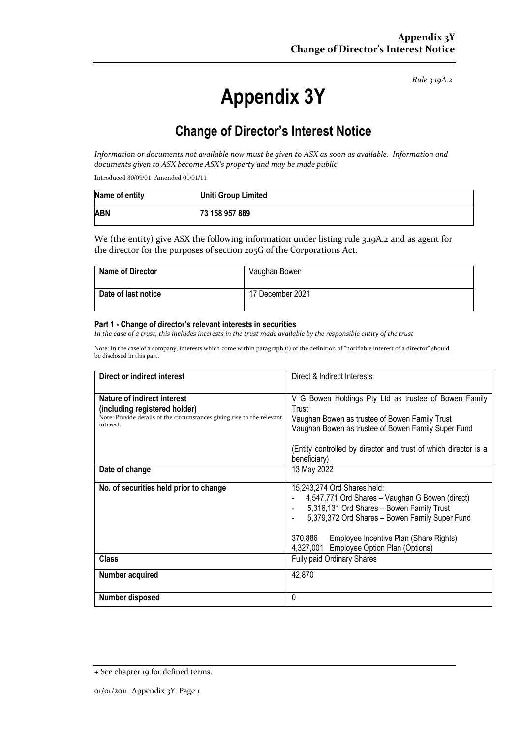*Rule 3.19A.2*

# **Appendix 3Y**

# **Change of Director's Interest Notice**

Information or documents not available now must be given to ASX as soon as available. Information and *documents given to ASX become ASX's property and may be made public.*

Introduced 30/09/01 Amended 01/01/11

| Name of entity | <b>Uniti Group Limited</b> |
|----------------|----------------------------|
| <b>ABN</b>     | 73 158 957 889             |

We (the entity) give ASX the following information under listing rule 3.19A.2 and as agent for the director for the purposes of section 205G of the Corporations Act.

| <b>Name of Director</b> | Vaughan Bowen    |
|-------------------------|------------------|
| Date of last notice     | 17 December 2021 |

#### **Part 1 - Change of director's relevant interests in securities**

In the case of a trust, this includes interests in the trust made available by the responsible entity of the trust

Note: In the case of a company, interests which come within paragraph (i) of the definition of "notifiable interest of a director" should be disclosed in this part.

| Direct or indirect interest                                                                                                                                | Direct & Indirect Interests                                                                                                                                                                                                                                                                                            |  |
|------------------------------------------------------------------------------------------------------------------------------------------------------------|------------------------------------------------------------------------------------------------------------------------------------------------------------------------------------------------------------------------------------------------------------------------------------------------------------------------|--|
| <b>Nature of indirect interest</b><br>(including registered holder)<br>Note: Provide details of the circumstances giving rise to the relevant<br>interest. | V G Bowen Holdings Pty Ltd as trustee of Bowen Family<br>Trust<br>Vaughan Bowen as trustee of Bowen Family Trust<br>Vaughan Bowen as trustee of Bowen Family Super Fund<br>(Entity controlled by director and trust of which director is a<br>beneficiary)                                                             |  |
| Date of change                                                                                                                                             | 13 May 2022                                                                                                                                                                                                                                                                                                            |  |
| No. of securities held prior to change<br><b>Class</b><br><b>Number acquired</b>                                                                           | 15,243,274 Ord Shares held:<br>4,547,771 Ord Shares - Vaughan G Bowen (direct)<br>5,316,131 Ord Shares - Bowen Family Trust<br>5,379,372 Ord Shares - Bowen Family Super Fund<br>370,886<br>Employee Incentive Plan (Share Rights)<br>4,327,001 Employee Option Plan (Options)<br>Fully paid Ordinary Shares<br>42,870 |  |
|                                                                                                                                                            |                                                                                                                                                                                                                                                                                                                        |  |
| Number disposed                                                                                                                                            | 0                                                                                                                                                                                                                                                                                                                      |  |

<sup>+</sup> See chapter 19 for defined terms.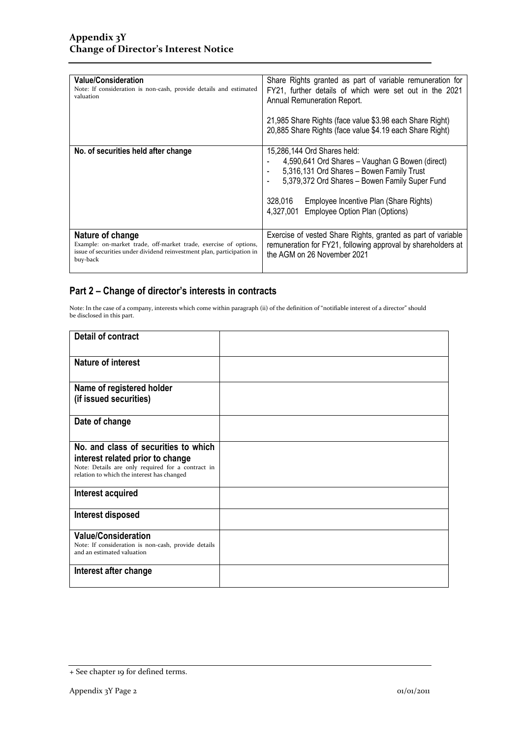| <b>Value/Consideration</b><br>Note: If consideration is non-cash, provide details and estimated<br>valuation                                                               | Share Rights granted as part of variable remuneration for<br>FY21, further details of which were set out in the 2021<br>Annual Remuneration Report.<br>21,985 Share Rights (face value \$3.98 each Share Right)<br>20,885 Share Rights (face value \$4.19 each Share Right)                                |
|----------------------------------------------------------------------------------------------------------------------------------------------------------------------------|------------------------------------------------------------------------------------------------------------------------------------------------------------------------------------------------------------------------------------------------------------------------------------------------------------|
| No. of securities held after change                                                                                                                                        | 15,286,144 Ord Shares held:<br>4,590,641 Ord Shares - Vaughan G Bowen (direct)<br>5,316,131 Ord Shares - Bowen Family Trust<br>$\overline{\phantom{a}}$<br>5,379,372 Ord Shares - Bowen Family Super Fund<br>328,016<br>Employee Incentive Plan (Share Rights)<br>4,327,001 Employee Option Plan (Options) |
| Nature of change<br>Example: on-market trade, off-market trade, exercise of options,<br>issue of securities under dividend reinvestment plan, participation in<br>buy-back | Exercise of vested Share Rights, granted as part of variable<br>remuneration for FY21, following approval by shareholders at<br>the AGM on 26 November 2021                                                                                                                                                |

### **Part 2 – Change of director's interests in contracts**

Note: In the case of a company, interests which come within paragraph (ii) of the definition of "notifiable interest of a director" should be disclosed in this part.

| <b>Detail of contract</b>                                                                                                                                                   |  |
|-----------------------------------------------------------------------------------------------------------------------------------------------------------------------------|--|
| <b>Nature of interest</b>                                                                                                                                                   |  |
| Name of registered holder<br>(if issued securities)                                                                                                                         |  |
| Date of change                                                                                                                                                              |  |
| No. and class of securities to which<br>interest related prior to change<br>Note: Details are only required for a contract in<br>relation to which the interest has changed |  |
| Interest acquired                                                                                                                                                           |  |
| Interest disposed                                                                                                                                                           |  |
| <b>Value/Consideration</b><br>Note: If consideration is non-cash, provide details<br>and an estimated valuation                                                             |  |
| Interest after change                                                                                                                                                       |  |

<sup>+</sup> See chapter 19 for defined terms.